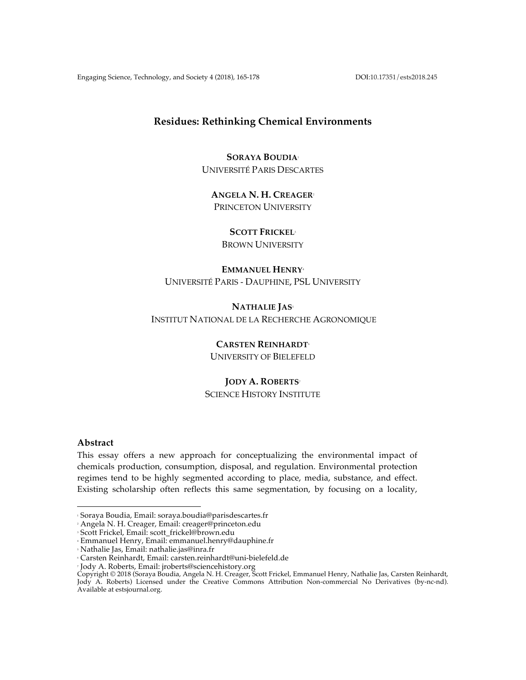Engaging Science, Technology, and Society 4 (2018), 165-178 DOI:10.17351/ests2018.245

# **Residues: Rethinking Chemical Environments**

# **SORAYA BOUDIA**<sup>1</sup> UNIVERSITÉ PARIS DESCARTES

**ANGELA N. H. CREAGER**<sup>2</sup> PRINCETON UNIVERSITY

**SCOTT FRICKEL**<sup>3</sup>

# BROWN UNIVERSITY

# **EMMANUEL HENRY**<sup>4</sup>

UNIVERSITÉ PARIS - DAUPHINE, PSL UNIVERSITY

# **NATHALIE JAS**<sup>5</sup> INSTITUT NATIONAL DE LA RECHERCHE AGRONOMIQUE

**CARSTEN REINHARDT**<sup>6</sup> UNIVERSITY OF BIELEFELD

# **JODY A. ROBERTS**<sup>7</sup>

SCIENCE HISTORY INSTITUTE

## **Abstract**

This essay offers a new approach for conceptualizing the environmental impact of chemicals production, consumption, disposal, and regulation. Environmental protection regimes tend to be highly segmented according to place, media, substance, and effect. Existing scholarship often reflects this same segmentation, by focusing on a locality,

 <sup>1</sup> Soraya Boudia, Email: soraya.boudia@parisdescartes.fr

 $\cdot$  Angela N. H. Creager, Email: creager@princeton.edu

<sup>3</sup> Scott Frickel, Email: scott\_frickel@brown.edu

<sup>4</sup> Emmanuel Henry, Email: emmanuel.henry@dauphine.fr

<sup>5</sup> Nathalie Jas, Email: nathalie.jas@inra.fr

<sup>6</sup> Carsten Reinhardt, Email: carsten.reinhardt@uni-bielefeld.de

<sup>7</sup> Jody A. Roberts, Email: jroberts@sciencehistory.org

Copyright © 2018 (Soraya Boudia, Angela N. H. Creager, Scott Frickel, Emmanuel Henry, Nathalie Jas, Carsten Reinhardt, Jody A. Roberts) Licensed under the Creative Commons Attribution Non-commercial No Derivatives (by-nc-nd). Available at estsjournal.org.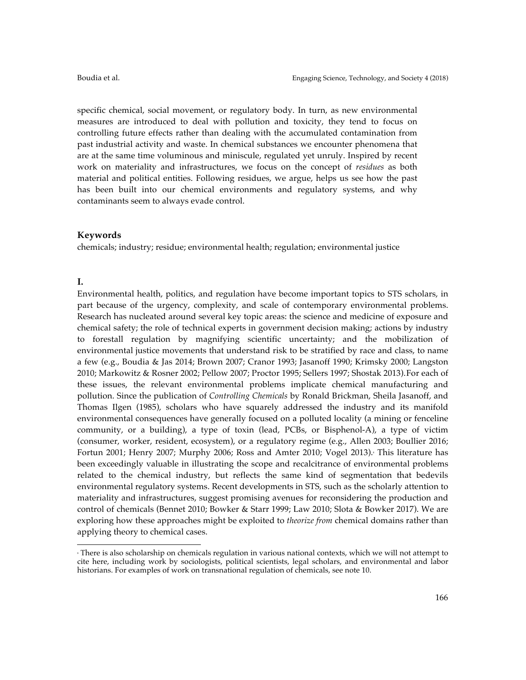specific chemical, social movement, or regulatory body. In turn, as new environmental measures are introduced to deal with pollution and toxicity, they tend to focus on controlling future effects rather than dealing with the accumulated contamination from past industrial activity and waste. In chemical substances we encounter phenomena that are at the same time voluminous and miniscule, regulated yet unruly. Inspired by recent work on materiality and infrastructures, we focus on the concept of *residues* as both material and political entities. Following residues, we argue, helps us see how the past has been built into our chemical environments and regulatory systems, and why contaminants seem to always evade control.

### **Keywords**

 

chemicals; industry; residue; environmental health; regulation; environmental justice

### **I.**

Environmental health, politics, and regulation have become important topics to STS scholars, in part because of the urgency, complexity, and scale of contemporary environmental problems. Research has nucleated around several key topic areas: the science and medicine of exposure and chemical safety; the role of technical experts in government decision making; actions by industry to forestall regulation by magnifying scientific uncertainty; and the mobilization of environmental justice movements that understand risk to be stratified by race and class, to name a few (e.g., Boudia & Jas 2014; Brown 2007; Cranor 1993; Jasanoff 1990; Krimsky 2000; Langston 2010; Markowitz & Rosner 2002; Pellow 2007; Proctor 1995; Sellers 1997; Shostak 2013).For each of these issues, the relevant environmental problems implicate chemical manufacturing and pollution. Since the publication of *Controlling Chemicals* by Ronald Brickman, Sheila Jasanoff, and Thomas Ilgen (1985), scholars who have squarely addressed the industry and its manifold environmental consequences have generally focused on a polluted locality (a mining or fenceline community, or a building), a type of toxin (lead, PCBs, or Bisphenol-A), a type of victim (consumer, worker, resident, ecosystem), or a regulatory regime (e.g., Allen 2003; Boullier 2016; Fortun 2001; Henry 2007; Murphy 2006; Ross and Amter 2010; Vogel 2013). This literature has been exceedingly valuable in illustrating the scope and recalcitrance of environmental problems related to the chemical industry, but reflects the same kind of segmentation that bedevils environmental regulatory systems. Recent developments in STS, such as the scholarly attention to materiality and infrastructures, suggest promising avenues for reconsidering the production and control of chemicals (Bennet 2010; Bowker & Starr 1999; Law 2010; Slota & Bowker 2017). We are exploring how these approaches might be exploited to *theorize from* chemical domains rather than applying theory to chemical cases.

<sup>8</sup> There is also scholarship on chemicals regulation in various national contexts, which we will not attempt to cite here, including work by sociologists, political scientists, legal scholars, and environmental and labor historians. For examples of work on transnational regulation of chemicals, see note 10.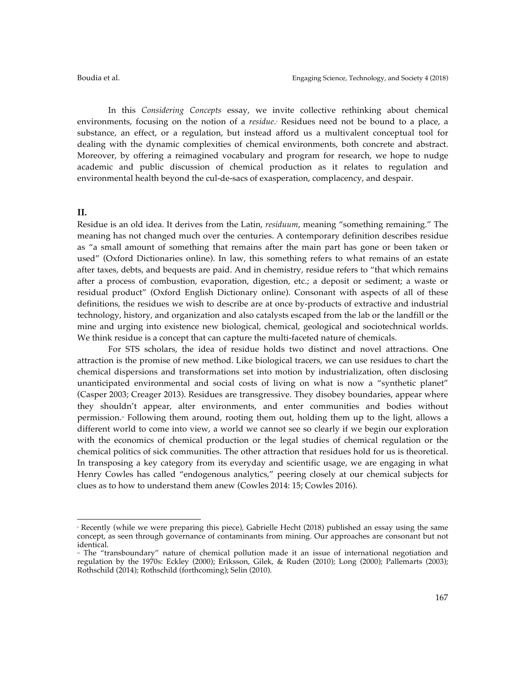In this *Considering Concepts* essay, we invite collective rethinking about chemical environments, focusing on the notion of a *residue*. Residues need not be bound to a place, a substance, an effect, or a regulation, but instead afford us a multivalent conceptual tool for dealing with the dynamic complexities of chemical environments, both concrete and abstract. Moreover, by offering a reimagined vocabulary and program for research, we hope to nudge academic and public discussion of chemical production as it relates to regulation and environmental health beyond the cul-de-sacs of exasperation, complacency, and despair.

### **II.**

 

Residue is an old idea. It derives from the Latin, *residuum*, meaning "something remaining." The meaning has not changed much over the centuries. A contemporary definition describes residue as "a small amount of something that remains after the main part has gone or been taken or used" (Oxford Dictionaries online). In law, this something refers to what remains of an estate after taxes, debts, and bequests are paid. And in chemistry, residue refers to "that which remains after a process of combustion, evaporation, digestion, etc.; a deposit or sediment; a waste or residual product" (Oxford English Dictionary online). Consonant with aspects of all of these definitions, the residues we wish to describe are at once by-products of extractive and industrial technology, history, and organization and also catalysts escaped from the lab or the landfill or the mine and urging into existence new biological, chemical, geological and sociotechnical worlds. We think residue is a concept that can capture the multi-faceted nature of chemicals.

For STS scholars, the idea of residue holds two distinct and novel attractions. One attraction is the promise of new method. Like biological tracers, we can use residues to chart the chemical dispersions and transformations set into motion by industrialization, often disclosing unanticipated environmental and social costs of living on what is now a "synthetic planet" (Casper 2003; Creager 2013). Residues are transgressive. They disobey boundaries, appear where they shouldn't appear, alter environments, and enter communities and bodies without permission.<sup>®</sup> Following them around, rooting them out, holding them up to the light, allows a different world to come into view, a world we cannot see so clearly if we begin our exploration with the economics of chemical production or the legal studies of chemical regulation or the chemical politics of sick communities. The other attraction that residues hold for us is theoretical. In transposing a key category from its everyday and scientific usage, we are engaging in what Henry Cowles has called "endogenous analytics," peering closely at our chemical subjects for clues as to how to understand them anew (Cowles 2014: 15; Cowles 2016).

<sup>9</sup> Recently (while we were preparing this piece), Gabrielle Hecht (2018) published an essay using the same concept, as seen through governance of contaminants from mining. Our approaches are consonant but not identical.

<sup>10</sup> The "transboundary" nature of chemical pollution made it an issue of international negotiation and regulation by the 1970s: Eckley (2000); Eriksson, Gilek, & Ruden (2010); Long (2000); Pallemarts (2003); Rothschild (2014); Rothschild (forthcoming); Selin (2010).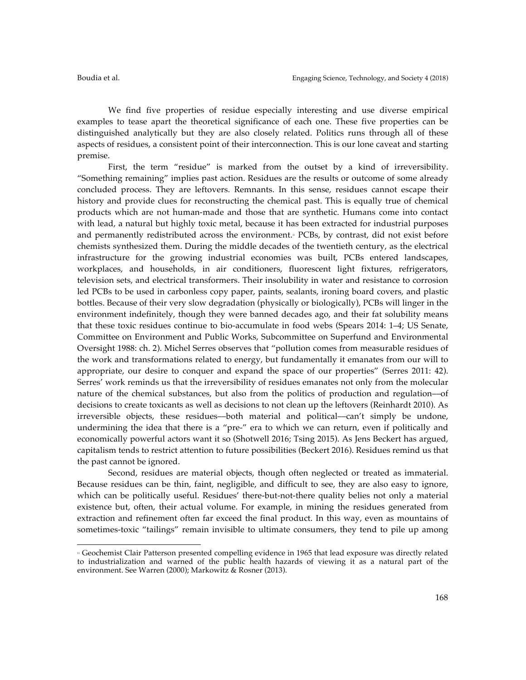We find five properties of residue especially interesting and use diverse empirical examples to tease apart the theoretical significance of each one. These five properties can be distinguished analytically but they are also closely related. Politics runs through all of these aspects of residues, a consistent point of their interconnection. This is our lone caveat and starting premise.

First, the term "residue" is marked from the outset by a kind of irreversibility. "Something remaining" implies past action. Residues are the results or outcome of some already concluded process. They are leftovers. Remnants. In this sense, residues cannot escape their history and provide clues for reconstructing the chemical past. This is equally true of chemical products which are not human-made and those that are synthetic. Humans come into contact with lead, a natural but highly toxic metal, because it has been extracted for industrial purposes and permanently redistributed across the environment.<sup>11</sup> PCBs, by contrast, did not exist before chemists synthesized them. During the middle decades of the twentieth century, as the electrical infrastructure for the growing industrial economies was built, PCBs entered landscapes, workplaces, and households, in air conditioners, fluorescent light fixtures, refrigerators, television sets, and electrical transformers. Their insolubility in water and resistance to corrosion led PCBs to be used in carbonless copy paper, paints, sealants, ironing board covers, and plastic bottles. Because of their very slow degradation (physically or biologically), PCBs will linger in the environment indefinitely, though they were banned decades ago, and their fat solubility means that these toxic residues continue to bio-accumulate in food webs (Spears 2014: 1–4; US Senate, Committee on Environment and Public Works, Subcommittee on Superfund and Environmental Oversight 1988: ch. 2). Michel Serres observes that "pollution comes from measurable residues of the work and transformations related to energy, but fundamentally it emanates from our will to appropriate, our desire to conquer and expand the space of our properties" (Serres 2011: 42). Serres' work reminds us that the irreversibility of residues emanates not only from the molecular nature of the chemical substances, but also from the politics of production and regulation––of decisions to create toxicants as well as decisions to not clean up the leftovers (Reinhardt 2010). As irreversible objects, these residues––both material and political––can't simply be undone, undermining the idea that there is a "pre-" era to which we can return, even if politically and economically powerful actors want it so (Shotwell 2016; Tsing 2015). As Jens Beckert has argued, capitalism tends to restrict attention to future possibilities (Beckert 2016). Residues remind us that the past cannot be ignored.

Second, residues are material objects, though often neglected or treated as immaterial. Because residues can be thin, faint, negligible, and difficult to see, they are also easy to ignore, which can be politically useful. Residues' there-but-not-there quality belies not only a material existence but, often, their actual volume. For example, in mining the residues generated from extraction and refinement often far exceed the final product. In this way, even as mountains of sometimes-toxic "tailings" remain invisible to ultimate consumers, they tend to pile up among

 

<sup>11</sup> Geochemist Clair Patterson presented compelling evidence in 1965 that lead exposure was directly related to industrialization and warned of the public health hazards of viewing it as a natural part of the environment. See Warren (2000); Markowitz & Rosner (2013).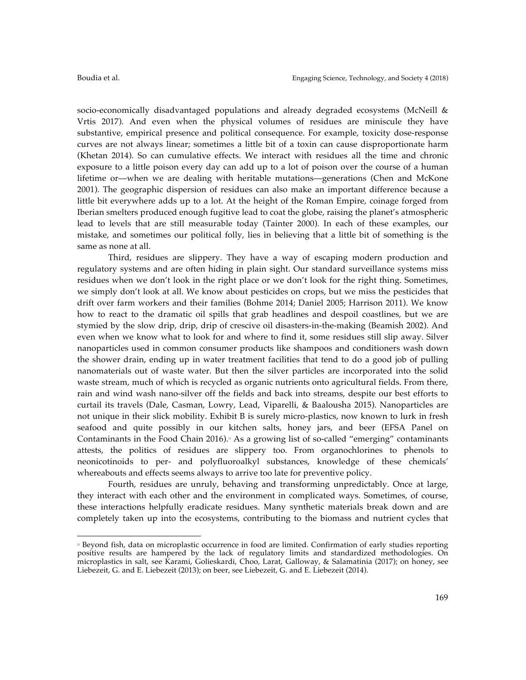socio-economically disadvantaged populations and already degraded ecosystems (McNeill & Vrtis 2017). And even when the physical volumes of residues are miniscule they have substantive, empirical presence and political consequence. For example, toxicity dose-response curves are not always linear; sometimes a little bit of a toxin can cause disproportionate harm (Khetan 2014). So can cumulative effects. We interact with residues all the time and chronic exposure to a little poison every day can add up to a lot of poison over the course of a human lifetime or––when we are dealing with heritable mutations––generations (Chen and McKone 2001). The geographic dispersion of residues can also make an important difference because a little bit everywhere adds up to a lot. At the height of the Roman Empire, coinage forged from Iberian smelters produced enough fugitive lead to coat the globe, raising the planet's atmospheric lead to levels that are still measurable today (Tainter 2000). In each of these examples, our mistake, and sometimes our political folly, lies in believing that a little bit of something is the same as none at all.

Third, residues are slippery. They have a way of escaping modern production and regulatory systems and are often hiding in plain sight. Our standard surveillance systems miss residues when we don't look in the right place or we don't look for the right thing. Sometimes, we simply don't look at all. We know about pesticides on crops, but we miss the pesticides that drift over farm workers and their families (Bohme 2014; Daniel 2005; Harrison 2011). We know how to react to the dramatic oil spills that grab headlines and despoil coastlines, but we are stymied by the slow drip, drip, drip of crescive oil disasters-in-the-making (Beamish 2002). And even when we know what to look for and where to find it, some residues still slip away. Silver nanoparticles used in common consumer products like shampoos and conditioners wash down the shower drain, ending up in water treatment facilities that tend to do a good job of pulling nanomaterials out of waste water. But then the silver particles are incorporated into the solid waste stream, much of which is recycled as organic nutrients onto agricultural fields. From there, rain and wind wash nano-silver off the fields and back into streams, despite our best efforts to curtail its travels (Dale, Casman, Lowry, Lead, Viparelli, & Baalousha 2015). Nanoparticles are not unique in their slick mobility. Exhibit B is surely micro-plastics, now known to lurk in fresh seafood and quite possibly in our kitchen salts, honey jars, and beer (EFSA Panel on Contaminants in the Food Chain 2016). $\frac{1}{2}$  As a growing list of so-called "emerging" contaminants attests, the politics of residues are slippery too. From organochlorines to phenols to neonicotinoids to per- and polyfluoroalkyl substances, knowledge of these chemicals' whereabouts and effects seems always to arrive too late for preventive policy.

Fourth, residues are unruly, behaving and transforming unpredictably. Once at large, they interact with each other and the environment in complicated ways. Sometimes, of course, these interactions helpfully eradicate residues. Many synthetic materials break down and are completely taken up into the ecosystems, contributing to the biomass and nutrient cycles that

 

<sup>12</sup> Beyond fish, data on microplastic occurrence in food are limited. Confirmation of early studies reporting positive results are hampered by the lack of regulatory limits and standardized methodologies. On microplastics in salt, see Karami, Golieskardi, Choo, Larat, Galloway, & Salamatinia (2017); on honey, see Liebezeit, G. and E. Liebezeit (2013); on beer, see Liebezeit, G. and E. Liebezeit (2014).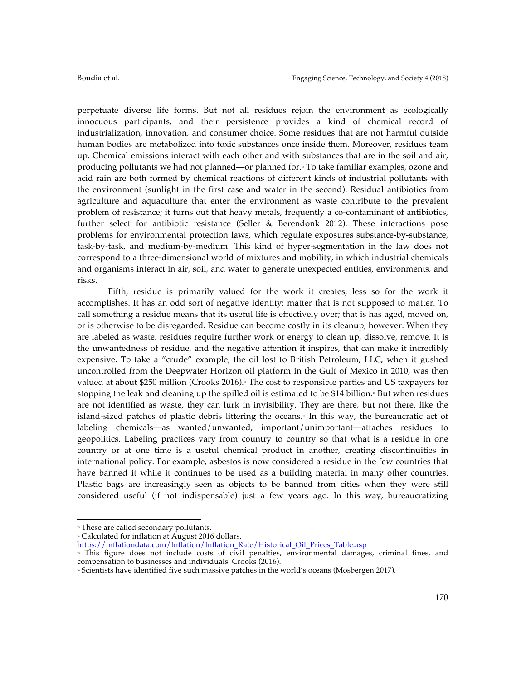perpetuate diverse life forms. But not all residues rejoin the environment as ecologically innocuous participants, and their persistence provides a kind of chemical record of industrialization, innovation, and consumer choice. Some residues that are not harmful outside human bodies are metabolized into toxic substances once inside them. Moreover, residues team up. Chemical emissions interact with each other and with substances that are in the soil and air, producing pollutants we had not planned—or planned for.<sup>19</sup> To take familiar examples, ozone and acid rain are both formed by chemical reactions of different kinds of industrial pollutants with the environment (sunlight in the first case and water in the second). Residual antibiotics from agriculture and aquaculture that enter the environment as waste contribute to the prevalent problem of resistance; it turns out that heavy metals, frequently a co-contaminant of antibiotics, further select for antibiotic resistance (Seller & Berendonk 2012). These interactions pose problems for environmental protection laws, which regulate exposures substance-by-substance, task-by-task, and medium-by-medium. This kind of hyper-segmentation in the law does not correspond to a three-dimensional world of mixtures and mobility, in which industrial chemicals and organisms interact in air, soil, and water to generate unexpected entities, environments, and risks.

Fifth, residue is primarily valued for the work it creates, less so for the work it accomplishes. It has an odd sort of negative identity: matter that is not supposed to matter. To call something a residue means that its useful life is effectively over; that is has aged, moved on, or is otherwise to be disregarded. Residue can become costly in its cleanup, however. When they are labeled as waste, residues require further work or energy to clean up, dissolve, remove. It is the unwantedness of residue, and the negative attention it inspires, that can make it incredibly expensive. To take a "crude" example, the oil lost to British Petroleum, LLC, when it gushed uncontrolled from the Deepwater Horizon oil platform in the Gulf of Mexico in 2010, was then valued at about \$250 million (Crooks 2016).<sup>4</sup> The cost to responsible parties and US taxpayers for stopping the leak and cleaning up the spilled oil is estimated to be \$14 billion.<sup>8</sup> But when residues are not identified as waste, they can lurk in invisibility. They are there, but not there, like the island-sized patches of plastic debris littering the oceans.<sup>4</sup> In this way, the bureaucratic act of labeling chemicals––as wanted/unwanted, important/unimportant––attaches residues to geopolitics. Labeling practices vary from country to country so that what is a residue in one country or at one time is a useful chemical product in another, creating discontinuities in international policy. For example, asbestos is now considered a residue in the few countries that have banned it while it continues to be used as a building material in many other countries. Plastic bags are increasingly seen as objects to be banned from cities when they were still considered useful (if not indispensable) just a few years ago. In this way, bureaucratizing

 <sup>13</sup> These are called secondary pollutants.

<sup>&</sup>lt;sup>14</sup> Calculated for inflation at August 2016 dollars.

https://inflationdata.com/Inflation/Inflation\_Rate/Historical\_Oil\_Prices\_Table.asp

<sup>15</sup> This figure does not include costs of civil penalties, environmental damages, criminal fines, and compensation to businesses and individuals. Crooks (2016).

<sup>16</sup> Scientists have identified five such massive patches in the world's oceans (Mosbergen 2017).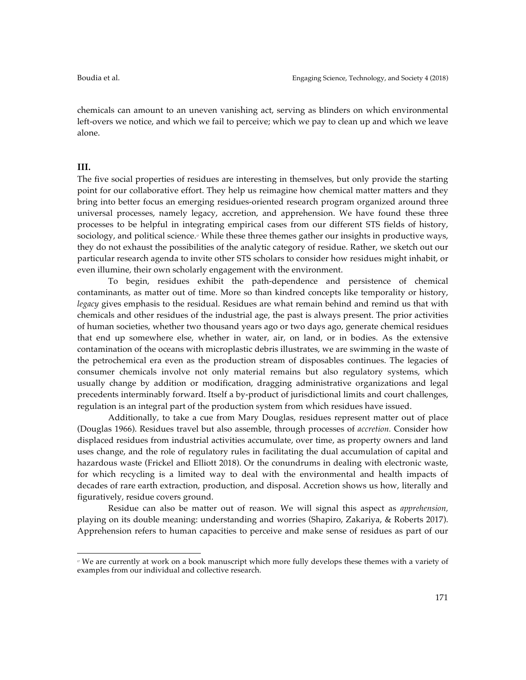chemicals can amount to an uneven vanishing act, serving as blinders on which environmental left-overs we notice, and which we fail to perceive; which we pay to clean up and which we leave alone.

## **III.**

The five social properties of residues are interesting in themselves, but only provide the starting point for our collaborative effort. They help us reimagine how chemical matter matters and they bring into better focus an emerging residues-oriented research program organized around three universal processes, namely legacy, accretion, and apprehension. We have found these three processes to be helpful in integrating empirical cases from our different STS fields of history, sociology, and political science.<sup>"</sup> While these three themes gather our insights in productive ways, they do not exhaust the possibilities of the analytic category of residue. Rather, we sketch out our particular research agenda to invite other STS scholars to consider how residues might inhabit, or even illumine, their own scholarly engagement with the environment.

To begin, residues exhibit the path-dependence and persistence of chemical contaminants, as matter out of time. More so than kindred concepts like temporality or history, *legacy* gives emphasis to the residual. Residues are what remain behind and remind us that with chemicals and other residues of the industrial age, the past is always present. The prior activities of human societies, whether two thousand years ago or two days ago, generate chemical residues that end up somewhere else, whether in water, air, on land, or in bodies. As the extensive contamination of the oceans with microplastic debris illustrates, we are swimming in the waste of the petrochemical era even as the production stream of disposables continues. The legacies of consumer chemicals involve not only material remains but also regulatory systems, which usually change by addition or modification, dragging administrative organizations and legal precedents interminably forward. Itself a by-product of jurisdictional limits and court challenges, regulation is an integral part of the production system from which residues have issued.

Additionally, to take a cue from Mary Douglas, residues represent matter out of place (Douglas 1966). Residues travel but also assemble, through processes of *accretion.* Consider how displaced residues from industrial activities accumulate, over time, as property owners and land uses change, and the role of regulatory rules in facilitating the dual accumulation of capital and hazardous waste (Frickel and Elliott 2018). Or the conundrums in dealing with electronic waste, for which recycling is a limited way to deal with the environmental and health impacts of decades of rare earth extraction, production, and disposal. Accretion shows us how, literally and figuratively, residue covers ground.

Residue can also be matter out of reason. We will signal this aspect as *apprehension,*  playing on its double meaning: understanding and worries (Shapiro, Zakariya, & Roberts 2017). Apprehension refers to human capacities to perceive and make sense of residues as part of our

 

 $^\mathrm{''}$  We are currently at work on a book manuscript which more fully develops these themes with a variety of examples from our individual and collective research.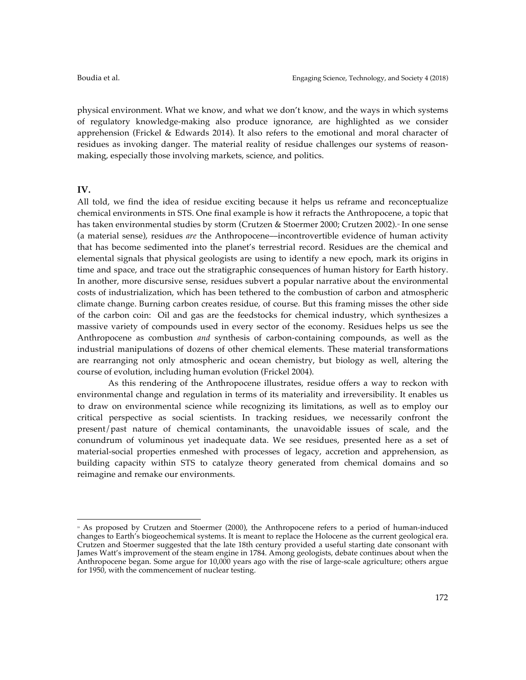physical environment. What we know, and what we don't know, and the ways in which systems of regulatory knowledge-making also produce ignorance, are highlighted as we consider apprehension (Frickel & Edwards 2014). It also refers to the emotional and moral character of residues as invoking danger. The material reality of residue challenges our systems of reasonmaking, especially those involving markets, science, and politics.

### **IV.**

All told, we find the idea of residue exciting because it helps us reframe and reconceptualize chemical environments in STS. One final example is how it refracts the Anthropocene, a topic that has taken environmental studies by storm (Crutzen & Stoermer 2000; Crutzen 2002).<sup>8</sup> In one sense (a material sense), residues *are* the Anthropocene––incontrovertible evidence of human activity that has become sedimented into the planet's terrestrial record. Residues are the chemical and elemental signals that physical geologists are using to identify a new epoch, mark its origins in time and space, and trace out the stratigraphic consequences of human history for Earth history. In another, more discursive sense, residues subvert a popular narrative about the environmental costs of industrialization, which has been tethered to the combustion of carbon and atmospheric climate change. Burning carbon creates residue, of course. But this framing misses the other side of the carbon coin: Oil and gas are the feedstocks for chemical industry, which synthesizes a massive variety of compounds used in every sector of the economy. Residues helps us see the Anthropocene as combustion *and* synthesis of carbon-containing compounds, as well as the industrial manipulations of dozens of other chemical elements. These material transformations are rearranging not only atmospheric and ocean chemistry, but biology as well, altering the course of evolution, including human evolution (Frickel 2004).

As this rendering of the Anthropocene illustrates, residue offers a way to reckon with environmental change and regulation in terms of its materiality and irreversibility. It enables us to draw on environmental science while recognizing its limitations, as well as to employ our critical perspective as social scientists. In tracking residues, we necessarily confront the present/past nature of chemical contaminants, the unavoidable issues of scale, and the conundrum of voluminous yet inadequate data. We see residues, presented here as a set of material-social properties enmeshed with processes of legacy, accretion and apprehension, as building capacity within STS to catalyze theory generated from chemical domains and so reimagine and remake our environments.

 <sup>18</sup> As proposed by Crutzen and Stoermer (2000), the Anthropocene refers to a period of human-induced changes to Earth's biogeochemical systems. It is meant to replace the Holocene as the current geological era. Crutzen and Stoermer suggested that the late 18th century provided a useful starting date consonant with James Watt's improvement of the steam engine in 1784. Among geologists, debate continues about when the Anthropocene began. Some argue for 10,000 years ago with the rise of large-scale agriculture; others argue for 1950, with the commencement of nuclear testing.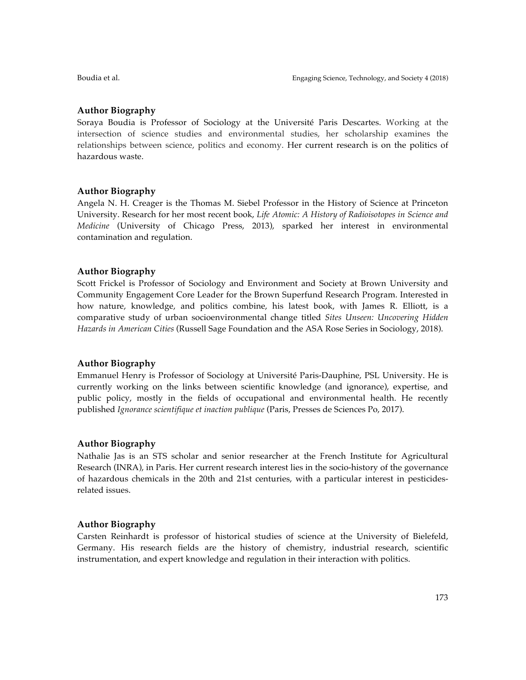# **Author Biography**

Soraya Boudia is Professor of Sociology at the Université Paris Descartes. Working at the intersection of science studies and environmental studies, her scholarship examines the relationships between science, politics and economy. Her current research is on the politics of hazardous waste.

# **Author Biography**

Angela N. H. Creager is the Thomas M. Siebel Professor in the History of Science at Princeton University. Research for her most recent book, *Life Atomic: A History of Radioisotopes in Science and Medicine* (University of Chicago Press, 2013), sparked her interest in environmental contamination and regulation.

# **Author Biography**

Scott Frickel is Professor of Sociology and Environment and Society at Brown University and Community Engagement Core Leader for the Brown Superfund Research Program. Interested in how nature, knowledge, and politics combine, his latest book, with James R. Elliott, is a comparative study of urban socioenvironmental change titled *Sites Unseen: Uncovering Hidden Hazards in American Cities* (Russell Sage Foundation and the ASA Rose Series in Sociology, 2018).

# **Author Biography**

Emmanuel Henry is Professor of Sociology at Université Paris-Dauphine, PSL University. He is currently working on the links between scientific knowledge (and ignorance), expertise, and public policy, mostly in the fields of occupational and environmental health. He recently published *Ignorance scientifique et inaction publique* (Paris, Presses de Sciences Po, 2017).

## **Author Biography**

Nathalie Jas is an STS scholar and senior researcher at the French Institute for Agricultural Research (INRA), in Paris. Her current research interest lies in the socio-history of the governance of hazardous chemicals in the 20th and 21st centuries, with a particular interest in pesticidesrelated issues.

## **Author Biography**

Carsten Reinhardt is professor of historical studies of science at the University of Bielefeld, Germany. His research fields are the history of chemistry, industrial research, scientific instrumentation, and expert knowledge and regulation in their interaction with politics.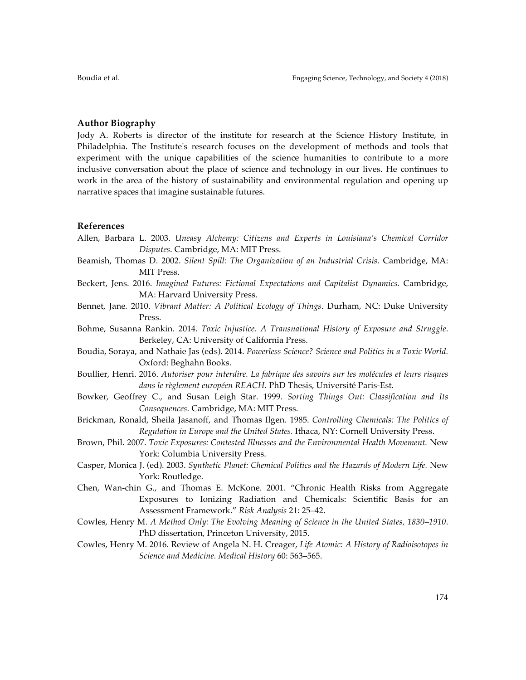### **Author Biography**

Jody A. Roberts is director of the institute for research at the Science History Institute, in Philadelphia. The Institute's research focuses on the development of methods and tools that experiment with the unique capabilities of the science humanities to contribute to a more inclusive conversation about the place of science and technology in our lives. He continues to work in the area of the history of sustainability and environmental regulation and opening up narrative spaces that imagine sustainable futures.

### **References**

- Allen, Barbara L. 2003. *Uneasy Alchemy: Citizens and Experts in Louisiana's Chemical Corridor Disputes*. Cambridge, MA: MIT Press.
- Beamish, Thomas D. 2002. *Silent Spill: The Organization of an Industrial Crisis*. Cambridge, MA: MIT Press.
- Beckert, Jens. 2016. *Imagined Futures: Fictional Expectations and Capitalist Dynamics.* Cambridge, MA: Harvard University Press.
- Bennet, Jane*.* 2010. *Vibrant Matter: A Political Ecology of Things*. Durham, NC: Duke University Press.
- Bohme, Susanna Rankin. 2014. *Toxic Injustice. A Transnational History of Exposure and Struggle*. Berkeley, CA: University of California Press.
- Boudia, Soraya, and Nathaie Jas (eds). 2014. *Powerless Science? Science and Politics in a Toxic World.* Oxford: Beghahn Books.
- Boullier, Henri. 2016. *Autoriser pour interdire. La fabrique des savoirs sur les molécules et leurs risques dans le règlement européen REACH.* PhD Thesis, Université Paris-Est.
- Bowker, Geoffrey C., and Susan Leigh Star. 1999. *Sorting Things Out: Classification and Its Consequences.* Cambridge, MA: MIT Press.
- Brickman, Ronald, Sheila Jasanoff, and Thomas Ilgen. 1985. *Controlling Chemicals: The Politics of Regulation in Europe and the United States.* Ithaca, NY: Cornell University Press.
- Brown, Phil. 2007. *Toxic Exposures: Contested Illnesses and the Environmental Health Movement.* New York: Columbia University Press.
- Casper, Monica J. (ed). 2003. *Synthetic Planet: Chemical Politics and the Hazards of Modern Life.* New York: Routledge.
- Chen, Wan-chin G., and Thomas E. McKone. 2001. "Chronic Health Risks from Aggregate Exposures to Ionizing Radiation and Chemicals: Scientific Basis for an Assessment Framework." *Risk Analysis* 21: 25–42.
- Cowles, Henry M. *A Method Only: The Evolving Meaning of Science in the United States, 1830–1910*. PhD dissertation, Princeton University, 2015.
- Cowles, Henry M. 2016. Review of Angela N. H. Creager, *Life Atomic: A History of Radioisotopes in Science and Medicine. Medical History* 60: 563–565.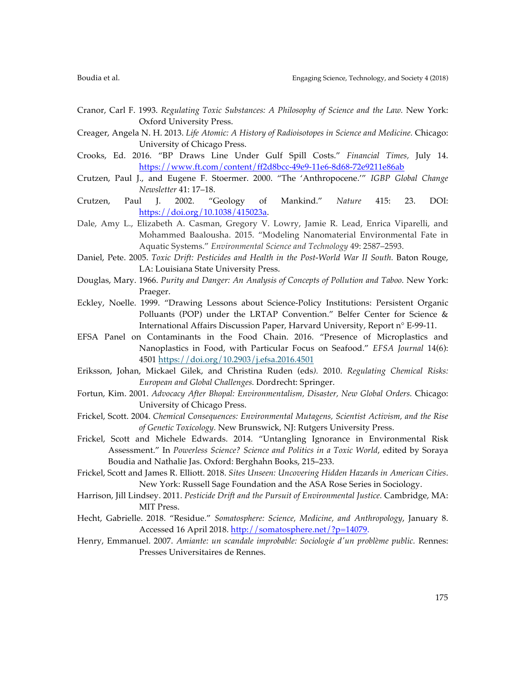- Cranor, Carl F. 1993. *Regulating Toxic Substances: A Philosophy of Science and the Law.* New York: Oxford University Press.
- Creager, Angela N. H. 2013. *Life Atomic: A History of Radioisotopes in Science and Medicine.* Chicago: University of Chicago Press.
- Crooks, Ed. 2016. "BP Draws Line Under Gulf Spill Costs." *Financial Times,* July 14. https://www.ft.com/content/ff2d8bcc-49e9-11e6-8d68-72e9211e86ab
- Crutzen, Paul J., and Eugene F. Stoermer. 2000. "The 'Anthropocene.'" *IGBP Global Change Newsletter* 41: 17–18.
- Crutzen, Paul J. 2002. "Geology of Mankind." *Nature* 415: 23. DOI: https://doi.org/10.1038/415023a.
- Dale, Amy L., Elizabeth A. Casman, Gregory V. Lowry, Jamie R. Lead, Enrica Viparelli, and Mohammed Baalousha. 2015. "Modeling Nanomaterial Environmental Fate in Aquatic Systems." *Environmental Science and Technology* 49: 2587–2593.
- Daniel, Pete. 2005. *Toxic Drift: Pesticides and Health in the Post-World War II South.* Baton Rouge, LA: Louisiana State University Press.
- Douglas, Mary. 1966. *Purity and Danger: An Analysis of Concepts of Pollution and Taboo.* New York: Praeger.
- Eckley, Noelle. 1999. "Drawing Lessons about Science-Policy Institutions: Persistent Organic Polluants (POP) under the LRTAP Convention." Belfer Center for Science & International Affairs Discussion Paper, Harvard University, Report n° E-99-11.
- EFSA Panel on Contaminants in the Food Chain. 2016. "Presence of Microplastics and Nanoplastics in Food, with Particular Focus on Seafood." *EFSA Journal* 14(6): 4501 https://doi.org/10.2903/j.efsa.2016.4501
- Eriksson, Johan, Mickael Gilek, and Christina Ruden (eds*).* 2010. *Regulating Chemical Risks: European and Global Challenges.* Dordrecht: Springer.
- Fortun, Kim. 2001. *Advocacy After Bhopal: Environmentalism, Disaster, New Global Orders.* Chicago: University of Chicago Press.
- Frickel, Scott. 2004. *Chemical Consequences: Environmental Mutagens, Scientist Activism, and the Rise of Genetic Toxicology.* New Brunswick, NJ: Rutgers University Press.
- Frickel, Scott and Michele Edwards. 2014. "Untangling Ignorance in Environmental Risk Assessment." In *Powerless Science? Science and Politics in a Toxic World*, edited by Soraya Boudia and Nathalie Jas. Oxford: Berghahn Books, 215–233.
- Frickel, Scott and James R. Elliott. 2018. *Sites Unseen: Uncovering Hidden Hazards in American Cities*. New York: Russell Sage Foundation and the ASA Rose Series in Sociology.
- Harrison, Jill Lindsey. 2011. *Pesticide Drift and the Pursuit of Environmental Justice.* Cambridge, MA: MIT Press.
- Hecht, Gabrielle. 2018. "Residue." *Somatosphere: Science, Medicine, and Anthropology*, January 8. Accessed 16 April 2018. http://somatosphere.net/?p=14079.
- Henry, Emmanuel. 2007. *Amiante: un scandale improbable: Sociologie d'un problème public.* Rennes: Presses Universitaires de Rennes.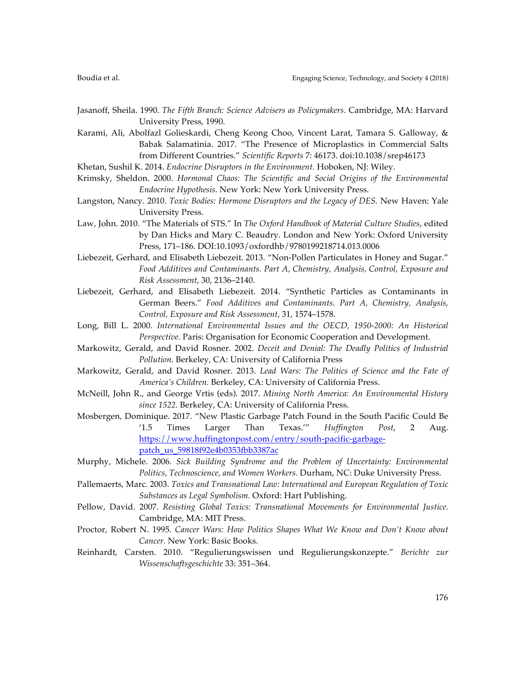- Jasanoff, Sheila. 1990. *The Fifth Branch: Science Advisers as Policymakers.* Cambridge, MA: Harvard University Press, 1990.
- Karami, Ali, Abolfazl Golieskardi, Cheng Keong Choo, Vincent Larat, Tamara S. Galloway, & Babak Salamatinia. 2017. "The Presence of Microplastics in Commercial Salts from Different Countries." *Scientific Reports* 7: 46173. doi:10.1038/srep46173
- Khetan, Sushil K. 2014. *Endocrine Disruptors in the Environment.* Hoboken, NJ: Wiley.
- Krimsky, Sheldon. 2000. *Hormonal Chaos: The Scientific and Social Origins of the Environmental Endocrine Hypothesis.* New York: New York University Press.
- Langston, Nancy. 2010. *Toxic Bodies: Hormone Disruptors and the Legacy of DES*. New Haven: Yale University Press.
- Law, John. 2010. "The Materials of STS." In *The Oxford Handbook of Material Culture Studies*, edited by Dan Hicks and Mary C. Beaudry. London and New York: Oxford University Press, 171–186. DOI:10.1093/oxfordhb/9780199218714.013.0006
- Liebezeit, Gerhard, and Elisabeth Liebezeit. 2013. "Non-Pollen Particulates in Honey and Sugar." *Food Additives and Contaminants. Part A, Chemistry, Analysis, Control, Exposure and Risk Assessment*, 30, 2136–2140.
- Liebezeit, Gerhard, and Elisabeth Liebezeit. 2014. "Synthetic Particles as Contaminants in German Beers." *Food Additives and Contaminants. Part A, Chemistry, Analysis, Control, Exposure and Risk Assessment*, 31, 1574–1578.
- Long*,* Bill L. 2000. *International Environmental Issues and the OECD, 1950-2000: An Historical Perspective.* Paris: Organisation for Economic Cooperation and Development.
- Markowitz, Gerald, and David Rosner. 2002. *Deceit and Denial: The Deadly Politics of Industrial Pollution.* Berkeley, CA: University of California Press
- Markowitz, Gerald, and David Rosner. 2013. *Lead Wars: The Politics of Science and the Fate of America's Children.* Berkeley, CA: University of California Press.
- McNeill, John R., and George Vrtis (eds). 2017. *Mining North America: An Environmental History since 1522.* Berkeley, CA: University of California Press.
- Mosbergen, Dominique. 2017. "New Plastic Garbage Patch Found in the South Pacific Could Be '1.5 Times Larger Than Texas.'" *Huffington Post*, 2 Aug. https://www.huffingtonpost.com/entry/south-pacific-garbagepatch\_us\_59818f92e4b0353fbb3387ac
- Murphy, Michele. 2006. *Sick Building Syndrome and the Problem of Uncertainty: Environmental Politics, Technoscience, and Women Workers.* Durham, NC: Duke University Press.
- Pallemaerts*,* Marc. 2003. *Toxics and Transnational Law: International and European Regulation of Toxic Substances as Legal Symbolism.* Oxford: Hart Publishing.
- Pellow, David. 2007. *Resisting Global Toxics: Transnational Movements for Environmental Justice*. Cambridge, MA: MIT Press.
- Proctor, Robert N. 1995. *Cancer Wars: How Politics Shapes What We Know and Don't Know about Cancer.* New York: Basic Books.
- Reinhardt, Carsten. 2010. "Regulierungswissen und Regulierungskonzepte." *Berichte zur Wissenschaftsgeschichte* 33: 351–364.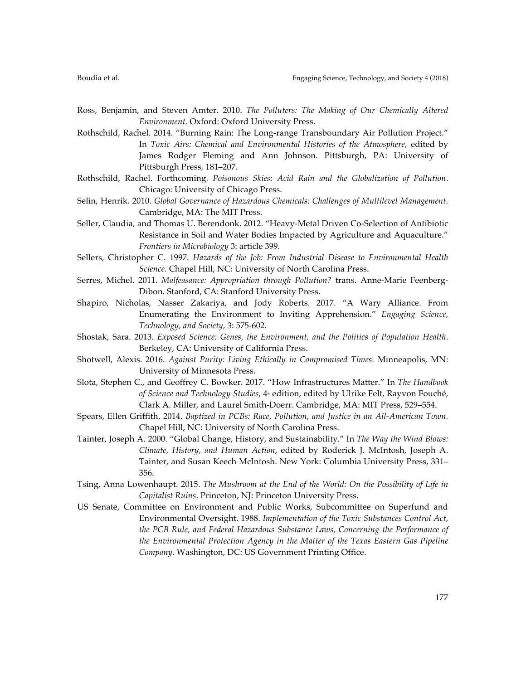- Ross, Benjamin, and Steven Amter. 2010. *The Polluters: The Making of Our Chemically Altered Environment.* Oxford: Oxford University Press.
- Rothschild, Rachel. 2014. "Burning Rain: The Long-range Transboundary Air Pollution Project." In *Toxic Airs: Chemical and Environmental Histories of the Atmosphere*, edited by James Rodger Fleming and Ann Johnson. Pittsburgh, PA: University of Pittsburgh Press, 181–207.
- Rothschild, Rachel. Forthcoming. *Poisonous Skies: Acid Rain and the Globalization of Pollution*. Chicago: University of Chicago Press.
- Selin, Henrik. 2010. *Global Governance of Hazardous Chemicals: Challenges of Multilevel Management.* Cambridge, MA: The MIT Press.
- Seller, Claudia, and Thomas U. Berendonk. 2012. "Heavy-Metal Driven Co-Selection of Antibiotic Resistance in Soil and Water Bodies Impacted by Agriculture and Aquaculture." *Frontiers in Microbiology* 3: article 399.
- Sellers, Christopher C. 1997. *Hazards of the Job: From Industrial Disease to Environmental Health Science.* Chapel Hill, NC: University of North Carolina Press.
- Serres, Michel. 2011. *Malfeasance: Appropriation through Pollution?* trans. Anne-Marie Feenberg-Dibon*.* Stanford, CA: Stanford University Press.
- Shapiro, Nicholas, Nasser Zakariya, and Jody Roberts. 2017. "A Wary Alliance. From Enumerating the Environment to Inviting Apprehension." *Engaging Science, Technology, and Society,* 3: 575-602.
- Shostak, Sara. 2013. *Exposed Science: Genes, the Environment, and the Politics of Population Health*. Berkeley, CA: University of California Press.
- Shotwell, Alexis. 2016. *Against Purity: Living Ethically in Compromised Times.* Minneapolis, MN: University of Minnesota Press.
- Slota, Stephen C., and Geoffrey C. Bowker. 2017. "How Infrastructures Matter." In *The Handbook of Science and Technology Studies*,  $4^*$  edition, edited by Ulrike Felt, Rayvon Fouché, Clark A. Miller, and Laurel Smith-Doerr. Cambridge, MA: MIT Press, 529–554.
- Spears, Ellen Griffith. 2014. *Baptized in PCBs: Race, Pollution, and Justice in an All-American Town.*  Chapel Hill, NC: University of North Carolina Press.
- Tainter, Joseph A. 2000. "Global Change, History, and Sustainability." In *The Way the Wind Blows: Climate, History, and Human Action*, edited by Roderick J. McIntosh, Joseph A. Tainter, and Susan Keech McIntosh. New York: Columbia University Press, 331– 356.
- Tsing, Anna Lowenhaupt. 2015. *The Mushroom at the End of the World: On the Possibility of Life in Capitalist Ruins*. Princeton, NJ: Princeton University Press.
- US Senate, Committee on Environment and Public Works, Subcommittee on Superfund and Environmental Oversight. 1988. *Implementation of the Toxic Substances Control Act, the PCB Rule, and Federal Hazardous Substance Laws, Concerning the Performance of the Environmental Protection Agency in the Matter of the Texas Eastern Gas Pipeline Company.* Washington, DC: US Government Printing Office.